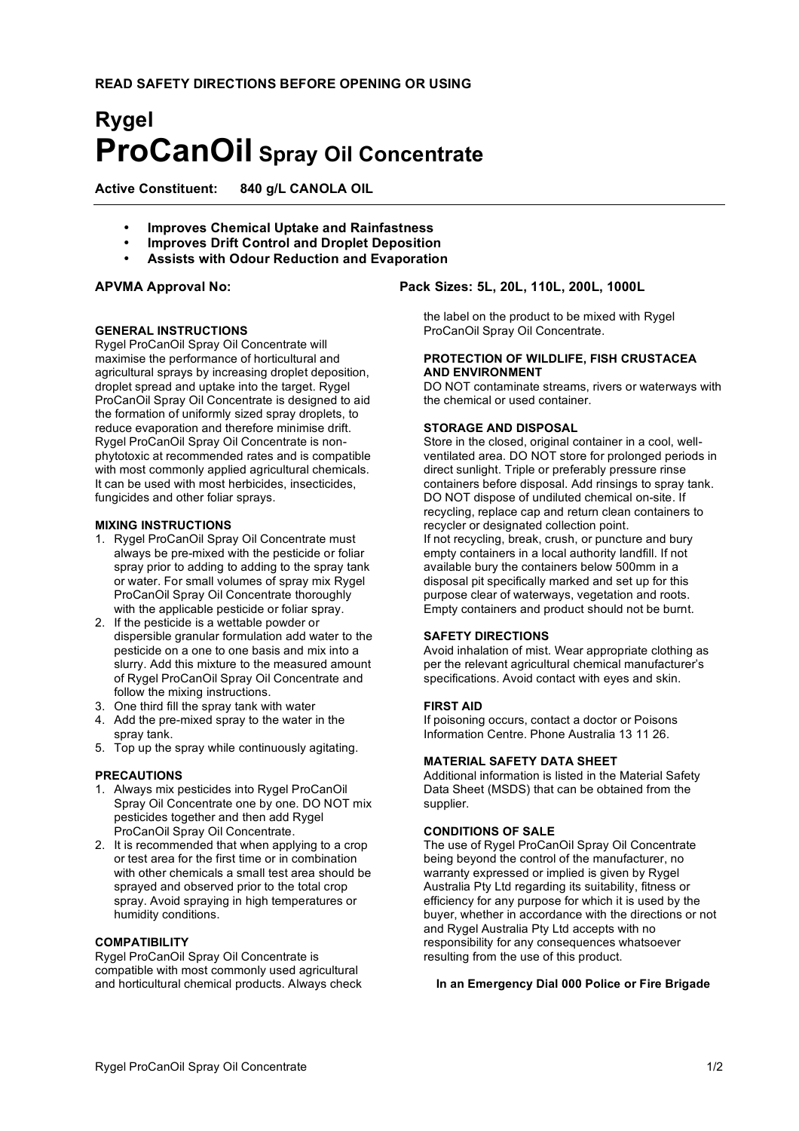# **Rygel ProCanOil Spray Oil Concentrate**

**Active Constituent: 840 g/L CANOLA OIL**

- **Improves Chemical Uptake and Rainfastness**
- **Improves Drift Control and Droplet Deposition**
- **Assists with Odour Reduction and Evaporation**

#### **GENERAL INSTRUCTIONS**

Rygel ProCanOil Spray Oil Concentrate will maximise the performance of horticultural and agricultural sprays by increasing droplet deposition, droplet spread and uptake into the target. Rygel ProCanOil Spray Oil Concentrate is designed to aid the formation of uniformly sized spray droplets, to reduce evaporation and therefore minimise drift. Rygel ProCanOil Spray Oil Concentrate is nonphytotoxic at recommended rates and is compatible with most commonly applied agricultural chemicals. It can be used with most herbicides, insecticides, fungicides and other foliar sprays.

#### **MIXING INSTRUCTIONS**

- 1. Rygel ProCanOil Spray Oil Concentrate must always be pre-mixed with the pesticide or foliar spray prior to adding to adding to the spray tank or water. For small volumes of spray mix Rygel ProCanOil Spray Oil Concentrate thoroughly with the applicable pesticide or foliar spray.
- 2. If the pesticide is a wettable powder or dispersible granular formulation add water to the pesticide on a one to one basis and mix into a slurry. Add this mixture to the measured amount of Rygel ProCanOil Spray Oil Concentrate and follow the mixing instructions.
- 3. One third fill the spray tank with water
- 4. Add the pre-mixed spray to the water in the spray tank.
- 5. Top up the spray while continuously agitating.

#### **PRECAUTIONS**

- 1. Always mix pesticides into Rygel ProCanOil Spray Oil Concentrate one by one. DO NOT mix pesticides together and then add Rygel ProCanOil Spray Oil Concentrate.
- 2. It is recommended that when applying to a crop or test area for the first time or in combination with other chemicals a small test area should be sprayed and observed prior to the total crop spray. Avoid spraying in high temperatures or humidity conditions.

#### **COMPATIBILITY**

Rygel ProCanOil Spray Oil Concentrate is compatible with most commonly used agricultural and horticultural chemical products. Always check

### **APVMA Approval No: Pack Sizes: 5L, 20L, 110L, 200L, 1000L**

the label on the product to be mixed with Rygel ProCanOil Spray Oil Concentrate.

#### **PROTECTION OF WILDLIFE, FISH CRUSTACEA AND ENVIRONMENT**

DO NOT contaminate streams, rivers or waterways with the chemical or used container.

#### **STORAGE AND DISPOSAL**

Store in the closed, original container in a cool, wellventilated area. DO NOT store for prolonged periods in direct sunlight. Triple or preferably pressure rinse containers before disposal. Add rinsings to spray tank. DO NOT dispose of undiluted chemical on-site. If recycling, replace cap and return clean containers to recycler or designated collection point. If not recycling, break, crush, or puncture and bury empty containers in a local authority landfill. If not available bury the containers below 500mm in a disposal pit specifically marked and set up for this purpose clear of waterways, vegetation and roots. Empty containers and product should not be burnt.

#### **SAFETY DIRECTIONS**

Avoid inhalation of mist. Wear appropriate clothing as per the relevant agricultural chemical manufacturer's specifications. Avoid contact with eyes and skin.

#### **FIRST AID**

If poisoning occurs, contact a doctor or Poisons Information Centre. Phone Australia 13 11 26.

#### **MATERIAL SAFETY DATA SHEET**

Additional information is listed in the Material Safety Data Sheet (MSDS) that can be obtained from the supplier.

# **CONDITIONS OF SALE**

The use of Rygel ProCanOil Spray Oil Concentrate being beyond the control of the manufacturer, no warranty expressed or implied is given by Rygel Australia Pty Ltd regarding its suitability, fitness or efficiency for any purpose for which it is used by the buyer, whether in accordance with the directions or not and Rygel Australia Pty Ltd accepts with no responsibility for any consequences whatsoever resulting from the use of this product.

#### **In an Emergency Dial 000 Police or Fire Brigade**